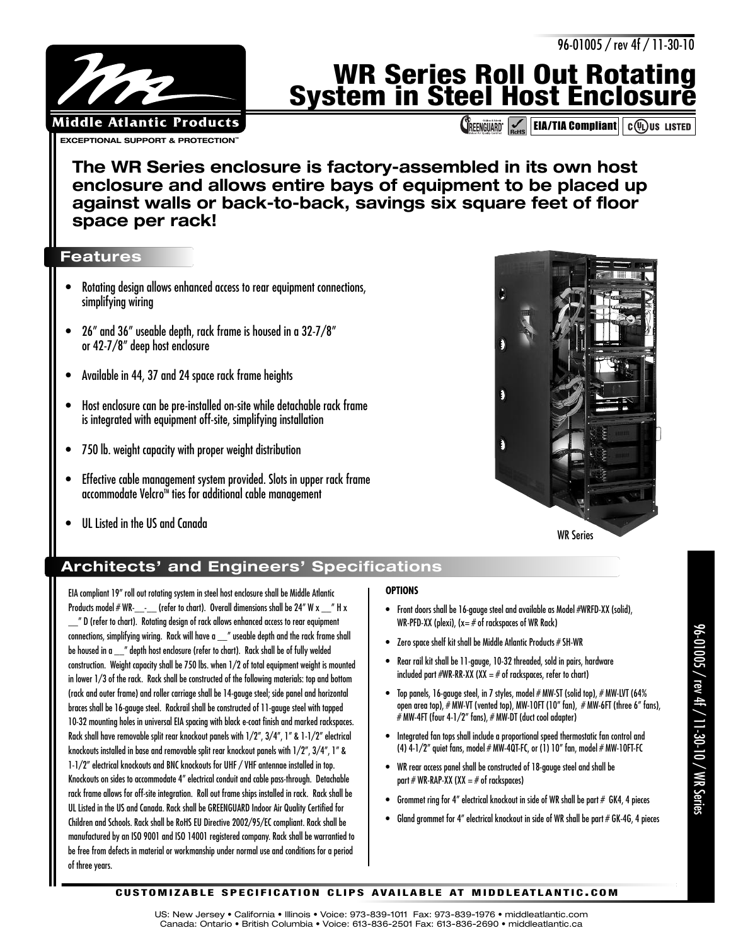96-01005 / rev 4f / 11-30-10

# **WR Series Roll Out Rotating System in Steel Host Enclosure**

**CREENGUARD VIA EIA/TIA Compliant COU** US LISTED

**The WR Series enclosure is factory-assembled in its own host enclosure and allows entire bays of equipment to be placed up against walls or back-to-back, savings six square feet of floor space per rack!**

## **Features**

**EXCEPTIONAL SUPPORT & PROTECTION Middle Atlantic Products**

- Rotating design allows enhanced access to rear equipment connections, simplifying wiring
- 26" and 36" useable depth, rack frame is housed in a 32-7/8" or 42-7/8" deep host enclosure
- Available in 44, 37 and 24 space rack frame heights
- Host enclosure can be pre-installed on-site while detachable rack frame is integrated with equipment off-site, simplifying installation
- 750 lb. weight capacity with proper weight distribution
- Effective cable management system provided. Slots in upper rack frame accommodate Velcro<sup>™</sup> ties for additional cable management
- UL Listed in the US and Canada



### WR Series

# **Architects' and Engineers' Specifications**

EIA compliant 19" roll out rotating system in steel host enclosure shall be Middle Atlantic Products model  $\# WR$ <sub>--</sub> (refer to chart). Overall dimensions shall be 24" W x  $\#$  H x \_\_" D (refer to chart). Rotating design of rack allows enhanced access to rear equipment connections, simplifying wiring. Rack will have a \_\_" useable depth and the rack frame shall be housed in a \_\_" depth host enclosure (refer to chart). Rack shall be of fully welded construction. Weight capacity shall be 750 lbs. when 1/2 of total equipment weight is mounted in lower 1/3 of the rack. Rack shall be constructed of the following materials: top and bottom (rack and outer frame) and roller carriage shall be 14-gauge steel; side panel and horizontal braces shall be 16-gauge steel. Rackrail shall be constructed of 11-gauge steel with tapped 10-32 mounting holes in universal EIA spacing with black e-coat finish and marked rackspaces. Rack shall have removable split rear knockout panels with 1/2", 3/4", 1" & 1-1/2" electrical knockouts installed in base and removable split rear knockout panels with 1/2", 3/4", 1" & 1-1/2" electrical knockouts and BNC knockouts for UHF / VHF antennae installed in top. Knockouts on sides to accommodate 4" electrical conduit and cable pass-through. Detachable rack frame allows for off-site integration. Roll out frame ships installed in rack. Rack shall be UL Listed in the US and Canada. Rack shall be GREENGUARD Indoor Air Quality Certified for Children and Schools. Rack shall be RoHS EU Directive 2002/95/EC compliant. Rack shall be manufactured by an ISO 9001 and ISO 14001 registered company. Rack shall be warrantied to be free from defects in material or workmanship under normal use and conditions for a period of three years.

## **OPTIONS**

- Front doors shall be 16-gauge steel and available as Model #WRFD-XX (solid), WR-PFD-XX (plexi),  $(x = #$  of rackspaces of WR Rack)
- Zero space shelf kit shall be Middle Atlantic Products # SH-WR
- Rear rail kit shall be 11-gauge, 10-32 threaded, sold in pairs, hardware included part  $\#WR-RR-XX$  ( $XX = \#$  of rackspaces, refer to chart)
- Top panels, 16-gauge steel, in 7 styles, model # MW-ST (solid top), # MW-LVT (64% open area top), # MW-VT (vented top), MW-10FT (10" fan), # MW-6FT (three 6" fans), # MW-4FT (four 4-1/2" fans), # MW-DT (duct cool adapter)
- Integrated fan tops shall include a proportional speed thermostatic fan control and (4)  $4-1/2$ " quiet fans, model  $\#$  MW-4QT-FC, or (1) 10" fan, model  $\#$  MW-10FT-FC
- WR rear access panel shall be constructed of 18-gauge steel and shall be part # WR-RAP-XX (XX  $=$  # of rackspaces)
- Grommet ring for 4" electrical knockout in side of WR shall be part  $#$  GK4, 4 pieces
- Gland grommet for 4" electrical knockout in side of WR shall be part # GK-4G, 4 pieces

#### **CUSTOMIZABLE SPECIFICATION CLIPS AVAILABLE AT MIDDLEATLANTIC.COM**